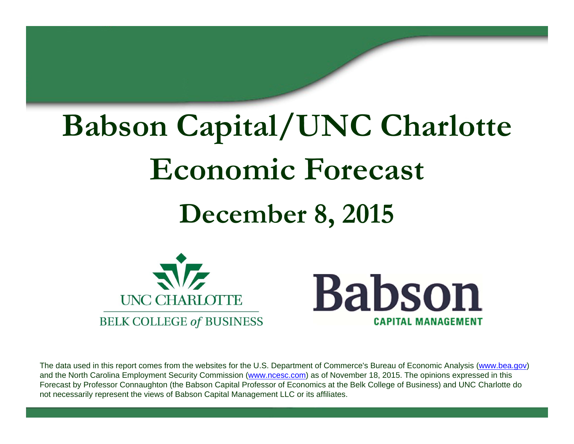# **Babson Capital/UNC Charlotte Economic Forecast December 8, 2015**





The data used in this report comes from the websites for the U.S. Department of Commerce's Bureau of Economic Analysis (www.bea.gov) and the North Carolina Employment Security Commission (www.ncesc.com) as of November 18, 2015. The opinions expressed in this Forecast by Professor Connaughton (the Babson Capital Professor of Economics at the Belk College of Business) and UNC Charlotte do not necessarily represent the views of Babson Capital Management LLC or its affiliates.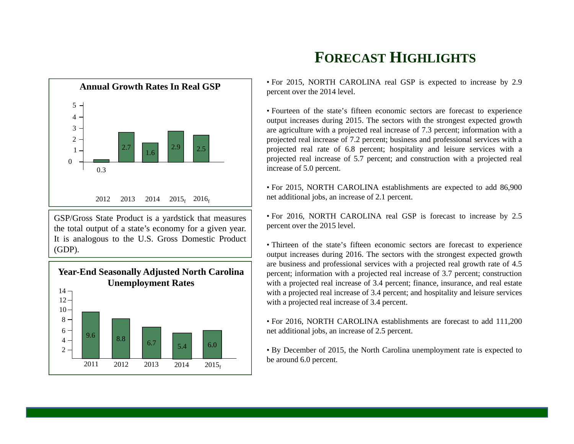

GSP/Gross State Product is <sup>a</sup> yardstick that measures the total output of <sup>a</sup> state's economy for <sup>a</sup> given year. It is analogous to the U.S. Gross Domestic Product (GDP).



# **FORECAST HIGHLIGHTS**

• For 2015, NORTH CAROLINA real GSP is expected to increase by 2.9 percen<sup>t</sup> over the 2014 level.

• Fourteen of the state's fifteen economic sectors are forecast to experience output increases during 2015. The sectors with the strongest expected growth are agriculture with <sup>a</sup> projected real increase of 7.3 percent; information with <sup>a</sup> projected real increase of 7.2 percent; business and professional services with <sup>a</sup> projected real rate of 6.8 percent; hospitality and leisure services with <sup>a</sup> projected real increase of 5.7 percent; and construction with <sup>a</sup> projected real increase of 5.0 percent.

• For 2015, NORTH CAROLINA establishments are expected to add 86,900 net additional jobs, an increase of 2.1 percent.

• For 2016, NORTH CAROLINA real GSP is forecast to increase by 2.5 percen<sup>t</sup> over the 2015 level.

• Thirteen of the state's fifteen economic sectors are forecast to experience output increases during 2016. The sectors with the strongest expected growth are business and professional services with <sup>a</sup> projected real growth rate of 4.5 percent; information with <sup>a</sup> projected real increase of 3.7 percent; construction with a projected real increase of 3.4 percent; finance, insurance, and real estate with <sup>a</sup> projected real increase of 3.4 percent; and hospitality and leisure services with <sup>a</sup> projected real increase of 3.4 percent.

• For 2016, NORTH CAROLINA establishments are forecast to add 111,200 net additional jobs, an increase of 2.5 percent.

• By December of 2015, the North Carolina unemployment rate is expected to be around 6.0 percent.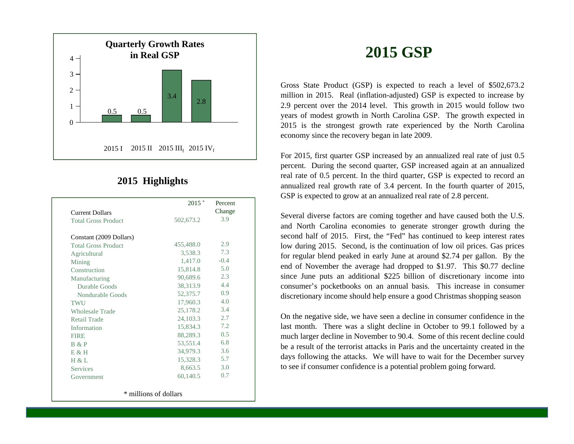

#### **2015 Highlights**

|                            | $2015$ *              | Percent |
|----------------------------|-----------------------|---------|
| <b>Current Dollars</b>     |                       | Change  |
| <b>Total Gross Product</b> | 502,673.2             | 3.9     |
| Constant (2009 Dollars)    |                       |         |
| <b>Total Gross Product</b> | 455,488.0             | 2.9     |
| Agricultural               | 3.538.3               | 7.3     |
| Mining                     | 1,417.0               | $-0.4$  |
| Construction               | 15,814.8              | 5.0     |
| Manufacturing              | 90,689.6              | 2.3     |
| Durable Goods              | 38,313.9              | 4.4     |
| Nondurable Goods           | 52,375.7              | 0.9     |
| TWU                        | 17,960.3              | 4.0     |
| <b>Wholesale Trade</b>     | 25,178.2              | 3.4     |
| <b>Retail Trade</b>        | 24,103.3              | 2.7     |
| Information                | 15,834.3              | 7.2     |
| <b>FIRE</b>                | 88,289.3              | 0.5     |
| B & P                      | 53,551.4              | 6.8     |
| E & H                      | 34,979.3              | 3.6     |
| H & L                      | 15,328.3              | 5.7     |
| <b>Services</b>            | 8,663.5               | 3.0     |
| Government                 | 60,140.5              | 0.7     |
|                            | * millions of dollars |         |

**2015 GSP**

Gross State Product (GSP) is expected to reach <sup>a</sup> level of \$502,673.2 million in 2015. Real (inflation-adjusted) GSP is expected to increase by 2.9 percen<sup>t</sup> over the 2014 level. This growth in 2015 would follow two years of modest growth in North Carolina GSP. The growth expected in 2015 is the strongest growth rate experienced by the North Carolina economy since the recovery began in late 2009.

For 2015, first quarter GSP increased by an annualized real rate of just 0.5 percent. During the second quarter, GSP increased again at an annualized real rate of 0.5 percent. In the third quarter, GSP is expected to record an annualized real growth rate of 3.4 percent. In the fourth quarter of 2015, GSP is expected to grow at an annualized real rate of 2.8 percent.

Several diverse factors are coming together and have caused both the U.S. and North Carolina economies to generate stronger growth during the second half of 2015. First, the "Fed" has continued to keep interest rates low during 2015. Second, is the continuation of low oil prices. Gas prices for regular blend peaked in early June at around \$2.74 per gallon. By the end of November the average had dropped to \$1.97. This \$0.77 decline since June puts an additional \$225 billion of discretionary income into consumer's pocketbooks on an annual basis. This increase in consumer discretionary income should help ensure <sup>a</sup> good Christmas shopping season

On the negative side, we have seen <sup>a</sup> decline in consumer confidence in the last month. There was <sup>a</sup> slight decline in October to 99.1 followed by <sup>a</sup> much larger decline in November to 90.4. Some of this recent decline could be <sup>a</sup> result of the terrorist attacks in Paris and the uncertainty created in the days following the attacks. We will have to wait for the December survey to see if consumer confidence is <sup>a</sup> potential problem going forward.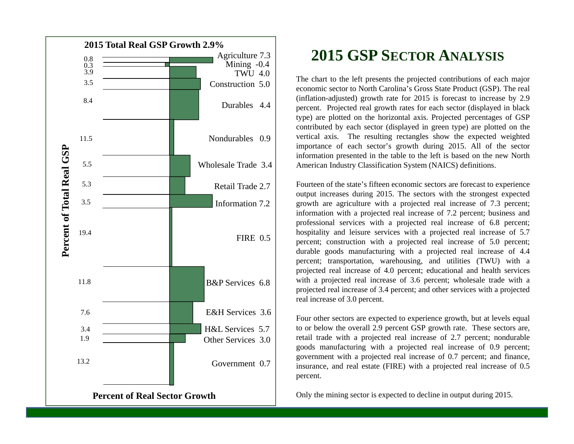

### **2015 GSP SECTORANALYSIS**

The chart to the left presents the projected contributions of each major economic sector to North Carolina's Gross State Product (GSP). The real (inflation-adjusted) growth rate for 2015 is forecast to increase by 2.9 percent. Projected real growth rates for each sector (displayed in black type) are plotted on the horizontal axis. Projected percentages of GSP contributed by each sector (displayed in green type) are plotted on the vertical axis. The resulting rectangles show the expected weighted importance of each sector's growth during 2015. All of the sector information presented in the table to the left is based on the new North American Industry Classification System (NAICS) definitions.

Fourteen of the state's fifteen economic sectors are forecast to experience output increases during 2015. The sectors with the strongest expected growth are agriculture with <sup>a</sup> projected real increase of 7.3 percent; information with <sup>a</sup> projected real increase of 7.2 percent; business and professional services with <sup>a</sup> projected real increase of 6.8 percent; hospitality and leisure services with <sup>a</sup> projected real increase of 5.7 percent; construction with <sup>a</sup> projected real increase of 5.0 percent; durable goods manufacturing with <sup>a</sup> projected real increase of 4.4 percent; transportation, warehousing, and utilities (TWU) with <sup>a</sup> projected real increase of 4.0 percent; educational and health services with <sup>a</sup> projected real increase of 3.6 percent; wholesale trade with <sup>a</sup> projected real increase of 3.4 percent; and other services with <sup>a</sup> projected real increase of 3.0 percent.

Four other sectors are expected to experience growth, but at levels equal to or below the overall 2.9 percen<sup>t</sup> GSP growth rate. These sectors are, retail trade with <sup>a</sup> projected real increase of 2.7 percent; nondurable goods manufacturing with <sup>a</sup> projected real increase of 0.9 percent; governmen<sup>t</sup> with <sup>a</sup> projected real increase of 0.7 percent; and finance, insurance, and real estate (FIRE) with <sup>a</sup> projected real increase of 0.5 percent.

Only the mining sector is expected to decline in output during 2015.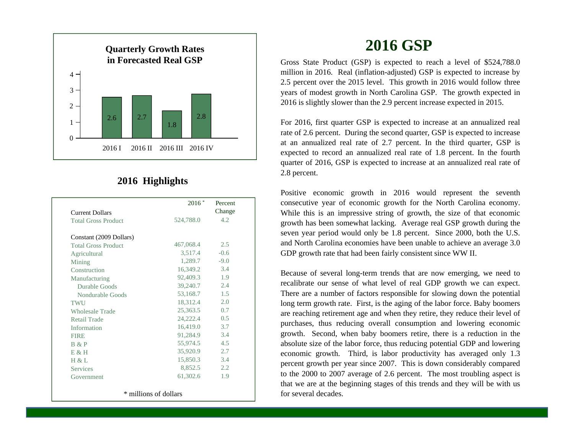

#### **2016 Highlights**

|                            | $2016*$   | Percent<br>Change |
|----------------------------|-----------|-------------------|
| <b>Current Dollars</b>     |           |                   |
| <b>Total Gross Product</b> | 524,788.0 | 4.2.              |
| Constant (2009 Dollars)    |           |                   |
| <b>Total Gross Product</b> | 467,068.4 | 2.5               |
| Agricultural               | 3,517.4   | $-0.6$            |
| Mining                     | 1,289.7   | $-9.0$            |
| Construction               | 16,349.2  | 3.4               |
| Manufacturing              | 92,409.3  | 1.9               |
| Durable Goods              | 39,240.7  | 2.4               |
| Nondurable Goods           | 53,168.7  | 1.5               |
| TWU                        | 18,312.4  | 2.0               |
| <b>Wholesale Trade</b>     | 25,363.5  | 0.7               |
| Retail Trade               | 24,222.4  | 0.5               |
| Information                | 16,419.0  | 3.7               |
| <b>FIRE</b>                | 91,284.9  | 3.4               |
| B & P                      | 55,974.5  | 4.5               |
| E & H                      | 35,920.9  | 2.7               |
| H & L                      | 15,850.3  | 3.4               |
| <b>Services</b>            | 8,852.5   | 2.2               |
| Government                 | 61,302.6  | 1.9               |

## **2016 GSP**

Gross State Product (GSP) is expected to reach <sup>a</sup> level of \$524,788.0 million in 2016. Real (inflation-adjusted) GSP is expected to increase by 2.5 percen<sup>t</sup> over the 2015 level. This growth in 2016 would follow three years of modest growth in North Carolina GSP. The growth expected in 2016 is slightly slower than the 2.9 percen<sup>t</sup> increase expected in 2015.

For 2016, first quarter GSP is expected to increase at an annualized real rate of 2.6 percent. During the second quarter, GSP is expected to increase at an annualized real rate of 2.7 percent. In the third quarter, GSP is expected to record an annualized real rate of 1.8 percent. In the fourth quarter of 2016, GSP is expected to increase at an annualized real rate of 2.8 percent.

Positive economic growth in 2016 would represen<sup>t</sup> the seventh consecutive year of economic growth for the North Carolina economy. While this is an impressive string of growth, the size of that economic growth has been somewhat lacking. Average real GSP growth during the seven year period would only be 1.8 percent. Since 2000, both the U.S. and North Carolina economies have been unable to achieve an average 3.0 GDP growth rate that had been fairly consistent since WW II.

Because of several long-term trends that are now emerging, we need to recalibrate our sense of what level of real GDP growth we can expect. There are <sup>a</sup> number of factors responsible for slowing down the potential long term growth rate. First, is the aging of the labor force. Baby boomers are reaching retirement age and when they retire, they reduce their level of purchases, thus reducing overall consumption and lowering economic growth. Second, when baby boomers retire, there is <sup>a</sup> reduction in the absolute size of the labor force, thus reducing potential GDP and lowering economic growth. Third, is labor productivity has averaged only 1.3 percen<sup>t</sup> growth per year since 2007. This is down considerably compared to the 2000 to 2007 average of 2.6 percent. The most troubling aspec<sup>t</sup> is that we are at the beginning stages of this trends and they will be with us for several decades.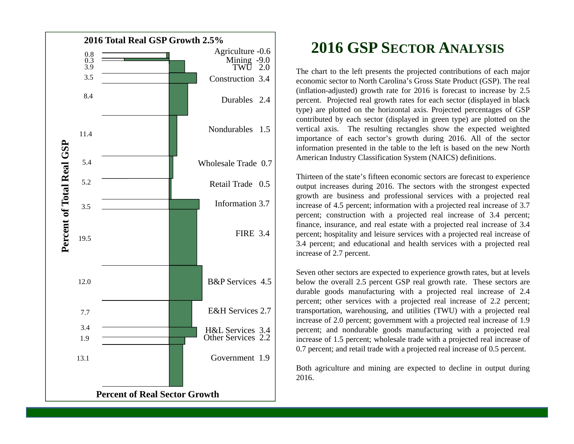

# **2016 GSP SECTORANALYSIS**

The chart to the left presents the projected contributions of each major economic sector to North Carolina's Gross State Product (GSP). The real (inflation-adjusted) growth rate for 2016 is forecast to increase by 2.5 percent. Projected real growth rates for each sector (displayed in black type) are plotted on the horizontal axis. Projected percentages of GSP contributed by each sector (displayed in green type) are plotted on the vertical axis. The resulting rectangles show the expected weighted importance of each sector's growth during 2016. All of the sector information presented in the table to the left is based on the new North American Industry Classification System (NAICS) definitions.

Thirteen of the state's fifteen economic sectors are forecast to experience output increases during 2016. The sectors with the strongest expected growth are business and professional services with <sup>a</sup> projected real increase of 4.5 percent; information with <sup>a</sup> projected real increase of 3.7 percent; construction with <sup>a</sup> projected real increase of 3.4 percent; finance, insurance, and real estate with <sup>a</sup> projected real increase of 3.4 percent; hospitality and leisure services with <sup>a</sup> projected real increase of 3.4 percent; and educational and health services with <sup>a</sup> projected real increase of 2.7 percent.

Seven other sectors are expected to experience growth rates, but at levels below the overall 2.5 percen<sup>t</sup> GSP real growth rate. These sectors are durable goods manufacturing with <sup>a</sup> projected real increase of 2.4 percent; other services with <sup>a</sup> projected real increase of 2.2 percent; transportation, warehousing, and utilities (TWU) with <sup>a</sup> projected real increase of 2.0 percent; governmen<sup>t</sup> with <sup>a</sup> projected real increase of 1.9 percent; and nondurable goods manufacturing with <sup>a</sup> projected real increase of 1.5 percent; wholesale trade with <sup>a</sup> projected real increase of 0.7 percent; and retail trade with <sup>a</sup> projected real increase of 0.5 percent.

Both agriculture and mining are expected to decline in output during 2016.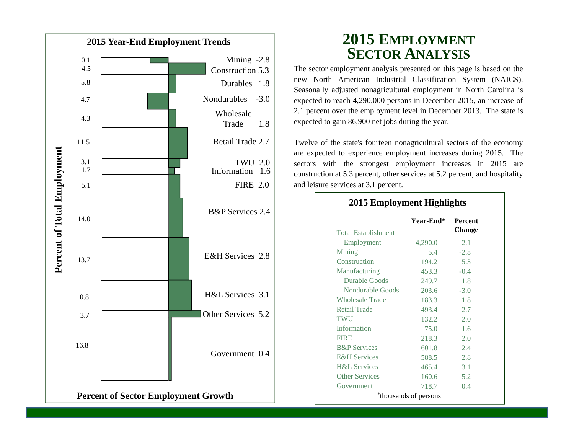

#### **2015 EMPLOYMENT SECTORANALYSIS**

The sector employment analysis presented on this page is based on the new North American Industrial Classification System (NAICS). Seasonally adjusted nonagricultural employment in North Carolina is expected to reach 4,290,000 persons in December 2015, an increase of 2.1 percen<sup>t</sup> over the employment level in December 2013. The state is expected to gain 86,900 net jobs during the year.

Twelve of the state's fourteen nonagricultural sectors of the economy are expected to experience employment increases during 2015. The sectors with the strongest employment increases in 2015 are construction at 5.3 percent, other services at 5.2 percent, and hospitality and leisure services at 3.1 percent.

| <b>Total Establishment</b> | Year-End* | <b>Percent</b><br><b>Change</b> |
|----------------------------|-----------|---------------------------------|
| Employment                 | 4,290.0   | 2.1                             |
| Mining                     | 5.4       | $-2.8$                          |
| Construction               | 194.2     | 5.3                             |
| Manufacturing              | 453.3     | $-0.4$                          |
| Durable Goods              | 249.7     | 1.8                             |
| Nondurable Goods           | 203.6     | $-3.0$                          |
| <b>Wholesale Trade</b>     | 183.3     | 1.8                             |
| <b>Retail Trade</b>        | 493.4     | 2.7                             |
| <b>TWU</b>                 | 132.2     | 2.0                             |
| Information                | 75.0      | 1.6                             |
| <b>FIRE</b>                | 218.3     | 2.0                             |
| <b>B&amp;P</b> Services    | 601.8     | 2.4                             |
| <b>E&amp;H</b> Services    | 588.5     | 2.8                             |
| <b>H&amp;L</b> Services    | 465.4     | 3.1                             |
| <b>Other Services</b>      | 160.6     | 5.2                             |
| Government                 | 718.7     | 0.4                             |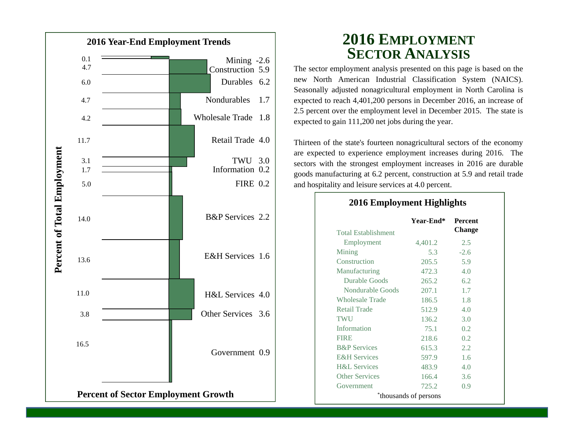

#### **2016 EMPLOYMENT SECTORANALYSIS**

The sector employment analysis presented on this page is based on the new North American Industrial Classification System (NAICS). Seasonally adjusted nonagricultural employment in North Carolina is expected to reach 4,401,200 persons in December 2016, an increase of 2.5 percen<sup>t</sup> over the employment level in December 2015. The state is expected to gain 111,200 net jobs during the year.

Thirteen of the state's fourteen nonagricultural sectors of the economy are expected to experience employment increases during 2016. The sectors with the strongest employment increases in 2016 are durable goods manufacturing at 6.2 percent, construction at 5.9 and retail trade and hospitality and leisure services at 4.0 percent.

**2016 Employment Highlights**

| <b>Total Establishment</b> | Year-End* | <b>Percent</b><br>Change |
|----------------------------|-----------|--------------------------|
| Employment                 | 4,401.2   | 2.5                      |
| Mining                     | 5.3       | $-2.6$                   |
| Construction               | 205.5     | 5.9                      |
| Manufacturing              | 472.3     | 4.0                      |
| Durable Goods              | 265.2     | 6.2                      |
| Nondurable Goods           | 207.1     | 1.7                      |
| <b>Wholesale Trade</b>     | 186.5     | 1.8                      |
| <b>Retail Trade</b>        | 512.9     | 4.0                      |
| TWU                        | 136.2     | 3.0                      |
| Information                | 75.1      | 0.2                      |
| <b>FIRE</b>                | 218.6     | 0.2                      |
| <b>B&amp;P</b> Services    | 615.3     | 2.2                      |
| <b>E&amp;H</b> Services    | 597.9     | 1.6                      |
| <b>H&amp;L</b> Services    | 483.9     | 4.0                      |
| <b>Other Services</b>      | 166.4     | 3.6                      |
| Government                 | 725.2     | 0.9                      |